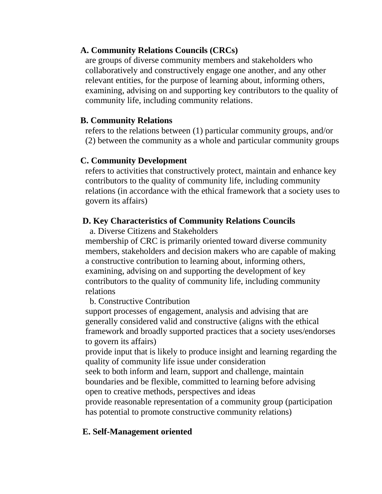# **A. Community Relations Councils (CRCs)**

are groups of diverse community members and stakeholders who collaboratively and constructively engage one another, and any other relevant entities, for the purpose of learning about, informing others, examining, advising on and supporting key contributors to the quality of community life, including community relations.

## **B. Community Relations**

refers to the relations between (1) particular community groups, and/or (2) between the community as a whole and particular community groups

# **C. Community Development**

refers to activities that constructively protect, maintain and enhance key contributors to the quality of community life, including community relations (in accordance with the ethical framework that a society uses to govern its affairs)

# **D. Key Characteristics of Community Relations Councils**

a. Diverse Citizens and Stakeholders

membership of CRC is primarily oriented toward diverse community members, stakeholders and decision makers who are capable of making a constructive contribution to learning about, informing others, examining, advising on and supporting the development of key contributors to the quality of community life, including community relations

b. Constructive Contribution

support processes of engagement, analysis and advising that are generally considered valid and constructive (aligns with the ethical framework and broadly supported practices that a society uses/endorses to govern its affairs)

provide input that is likely to produce insight and learning regarding the quality of community life issue under consideration

seek to both inform and learn, support and challenge, maintain boundaries and be flexible, committed to learning before advising open to creative methods, perspectives and ideas

provide reasonable representation of a community group (participation has potential to promote constructive community relations)

# **E. Self-Management oriented**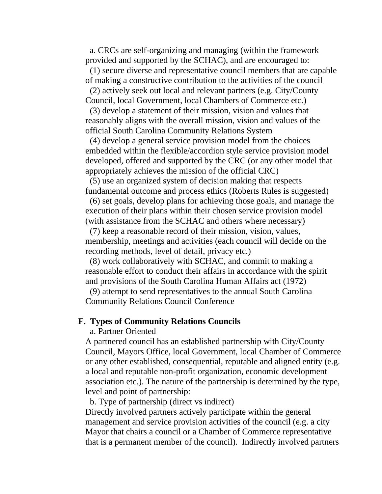a. CRCs are self-organizing and managing (within the framework provided and supported by the SCHAC), and are encouraged to:

(1) secure diverse and representative council members that are capable of making a constructive contribution to the activities of the council

(2) actively seek out local and relevant partners (e.g. City/County Council, local Government, local Chambers of Commerce etc.)

(3) develop a statement of their mission, vision and values that reasonably aligns with the overall mission, vision and values of the official South Carolina Community Relations System

(4) develop a general service provision model from the choices embedded within the flexible/accordion style service provision model developed, offered and supported by the CRC (or any other model that appropriately achieves the mission of the official CRC)

(5) use an organized system of decision making that respects fundamental outcome and process ethics (Roberts Rules is suggested)

(6) set goals, develop plans for achieving those goals, and manage the execution of their plans within their chosen service provision model (with assistance from the SCHAC and others where necessary)

(7) keep a reasonable record of their mission, vision, values, membership, meetings and activities (each council will decide on the recording methods, level of detail, privacy etc.)

(8) work collaboratively with SCHAC, and commit to making a reasonable effort to conduct their affairs in accordance with the spirit and provisions of the South Carolina Human Affairs act (1972)

(9) attempt to send representatives to the annual South Carolina Community Relations Council Conference

#### **F. Types of Community Relations Councils**

a. Partner Oriented

A partnered council has an established partnership with City/County Council, Mayors Office, local Government, local Chamber of Commerce or any other established, consequential, reputable and aligned entity (e.g. a local and reputable non-profit organization, economic development association etc.). The nature of the partnership is determined by the type, level and point of partnership:

b. Type of partnership (direct vs indirect)

Directly involved partners actively participate within the general management and service provision activities of the council (e.g. a city Mayor that chairs a council or a Chamber of Commerce representative that is a permanent member of the council). Indirectly involved partners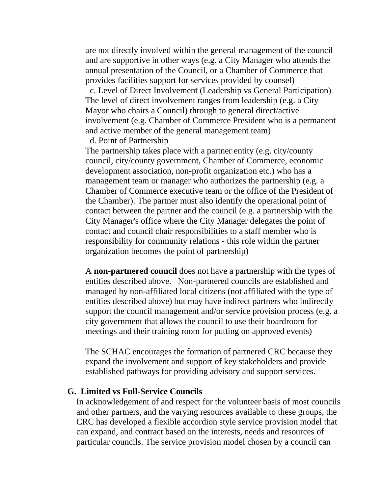are not directly involved within the general management of the council and are supportive in other ways (e.g. a City Manager who attends the annual presentation of the Council, or a Chamber of Commerce that provides facilities support for services provided by counsel)

c. Level of Direct Involvement (Leadership vs General Participation) The level of direct involvement ranges from leadership (e.g. a City Mayor who chairs a Council) through to general direct/active involvement (e.g. Chamber of Commerce President who is a permanent and active member of the general management team)

d. Point of Partnership

The partnership takes place with a partner entity (e.g. city/county council, city/county government, Chamber of Commerce, economic development association, non-profit organization etc.) who has a management team or manager who authorizes the partnership (e.g. a Chamber of Commerce executive team or the office of the President of the Chamber). The partner must also identify the operational point of contact between the partner and the council (e.g. a partnership with the City Manager's office where the City Manager delegates the point of contact and council chair responsibilities to a staff member who is responsibility for community relations - this role within the partner organization becomes the point of partnership)

A **non-partnered council** does not have a partnership with the types of entities described above. Non-partnered councils are established and managed by non-affiliated local citizens (not affiliated with the type of entities described above) but may have indirect partners who indirectly support the council management and/or service provision process (e.g. a city government that allows the council to use their boardroom for meetings and their training room for putting on approved events)

The SCHAC encourages the formation of partnered CRC because they expand the involvement and support of key stakeholders and provide established pathways for providing advisory and support services.

#### **G. Limited vs Full-Service Councils**

In acknowledgement of and respect for the volunteer basis of most councils and other partners, and the varying resources available to these groups, the CRC has developed a flexible accordion style service provision model that can expand, and contract based on the interests, needs and resources of particular councils. The service provision model chosen by a council can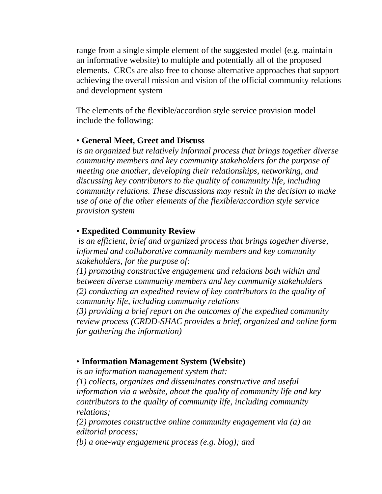range from a single simple element of the suggested model (e.g. maintain an informative website) to multiple and potentially all of the proposed elements. CRCs are also free to choose alternative approaches that support achieving the overall mission and vision of the official community relations and development system

The elements of the flexible/accordion style service provision model include the following:

### • **General Meet, Greet and Discuss**

*is an organized but relatively informal process that brings together diverse community members and key community stakeholders for the purpose of meeting one another, developing their relationships, networking, and discussing key contributors to the quality of community life, including community relations. These discussions may result in the decision to make use of one of the other elements of the flexible/accordion style service provision system*

## • **Expedited Community Review**

*is an efficient, brief and organized process that brings together diverse, informed and collaborative community members and key community stakeholders, for the purpose of:*

*(1) promoting constructive engagement and relations both within and between diverse community members and key community stakeholders (2) conducting an expedited review of key contributors to the quality of community life, including community relations*

*(3) providing a brief report on the outcomes of the expedited community review process (CRDD-SHAC provides a brief, organized and online form for gathering the information)*

# • **Information Management System (Website)**

*is an information management system that:*

*(1) collects, organizes and disseminates constructive and useful information via a website, about the quality of community life and key contributors to the quality of community life, including community relations;*

*(2) promotes constructive online community engagement via (a) an editorial process;*

*(b) a one-way engagement process (e.g. blog); and*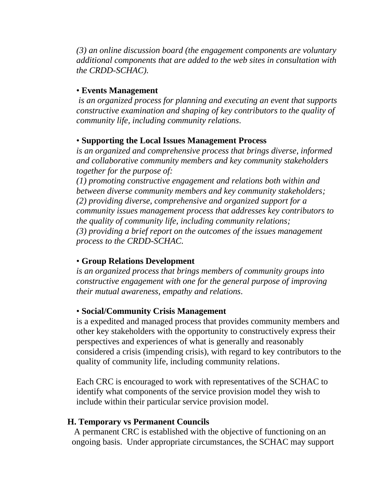*(3) an online discussion board (the engagement components are voluntary additional components that are added to the web sites in consultation with the CRDD-SCHAC).* 

### • **Events Management**

*is an organized process for planning and executing an event that supports constructive examination and shaping of key contributors to the quality of community life, including community relations.*

### • **Supporting the Local Issues Management Process**

*is an organized and comprehensive process that brings diverse, informed and collaborative community members and key community stakeholders together for the purpose of:* 

*(1) promoting constructive engagement and relations both within and between diverse community members and key community stakeholders; (2) providing diverse, comprehensive and organized support for a community issues management process that addresses key contributors to the quality of community life, including community relations; (3) providing a brief report on the outcomes of the issues management process to the CRDD-SCHAC.*

#### • **Group Relations Development**

*is an organized process that brings members of community groups into constructive engagement with one for the general purpose of improving their mutual awareness, empathy and relations.*

### • **Social/Community Crisis Management**

is a expedited and managed process that provides community members and other key stakeholders with the opportunity to constructively express their perspectives and experiences of what is generally and reasonably considered a crisis (impending crisis), with regard to key contributors to the quality of community life, including community relations.

Each CRC is encouraged to work with representatives of the SCHAC to identify what components of the service provision model they wish to include within their particular service provision model.

#### **H. Temporary vs Permanent Councils**

A permanent CRC is established with the objective of functioning on an ongoing basis. Under appropriate circumstances, the SCHAC may support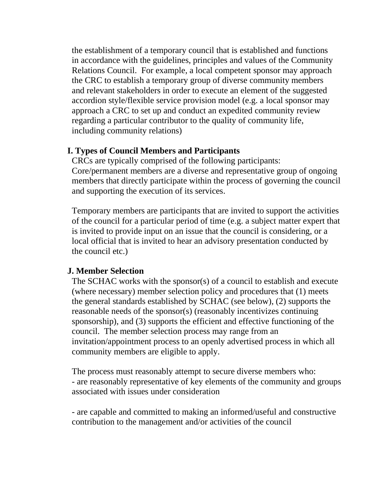the establishment of a temporary council that is established and functions in accordance with the guidelines, principles and values of the Community Relations Council. For example, a local competent sponsor may approach the CRC to establish a temporary group of diverse community members and relevant stakeholders in order to execute an element of the suggested accordion style/flexible service provision model (e.g. a local sponsor may approach a CRC to set up and conduct an expedited community review regarding a particular contributor to the quality of community life, including community relations)

## **I. Types of Council Members and Participants**

CRCs are typically comprised of the following participants: Core/permanent members are a diverse and representative group of ongoing members that directly participate within the process of governing the council and supporting the execution of its services.

Temporary members are participants that are invited to support the activities of the council for a particular period of time (e.g. a subject matter expert that is invited to provide input on an issue that the council is considering, or a local official that is invited to hear an advisory presentation conducted by the council etc.)

## **J. Member Selection**

The SCHAC works with the sponsor(s) of a council to establish and execute (where necessary) member selection policy and procedures that (1) meets the general standards established by SCHAC (see below), (2) supports the reasonable needs of the sponsor(s) (reasonably incentivizes continuing sponsorship), and (3) supports the efficient and effective functioning of the council. The member selection process may range from an invitation/appointment process to an openly advertised process in which all community members are eligible to apply.

The process must reasonably attempt to secure diverse members who: - are reasonably representative of key elements of the community and groups associated with issues under consideration

- are capable and committed to making an informed/useful and constructive contribution to the management and/or activities of the council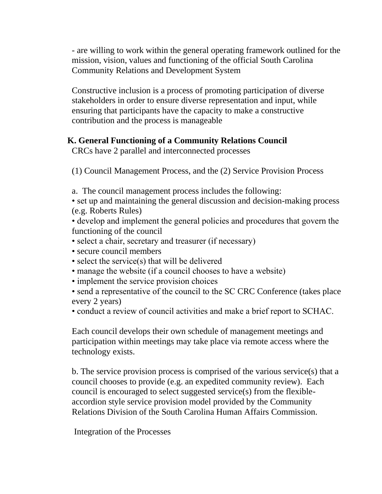- are willing to work within the general operating framework outlined for the mission, vision, values and functioning of the official South Carolina Community Relations and Development System

Constructive inclusion is a process of promoting participation of diverse stakeholders in order to ensure diverse representation and input, while ensuring that participants have the capacity to make a constructive contribution and the process is manageable

# **K. General Functioning of a Community Relations Council**

CRCs have 2 parallel and interconnected processes

(1) Council Management Process, and the (2) Service Provision Process

a. The council management process includes the following:

• set up and maintaining the general discussion and decision-making process (e.g. Roberts Rules)

• develop and implement the general policies and procedures that govern the functioning of the council

- select a chair, secretary and treasurer (if necessary)
- secure council members
- select the service(s) that will be delivered
- manage the website (if a council chooses to have a website)
- implement the service provision choices

• send a representative of the council to the SC CRC Conference (takes place) every 2 years)

• conduct a review of council activities and make a brief report to SCHAC.

Each council develops their own schedule of management meetings and participation within meetings may take place via remote access where the technology exists.

b. The service provision process is comprised of the various service(s) that a council chooses to provide (e.g. an expedited community review). Each council is encouraged to select suggested service(s) from the flexibleaccordion style service provision model provided by the Community Relations Division of the South Carolina Human Affairs Commission.

Integration of the Processes